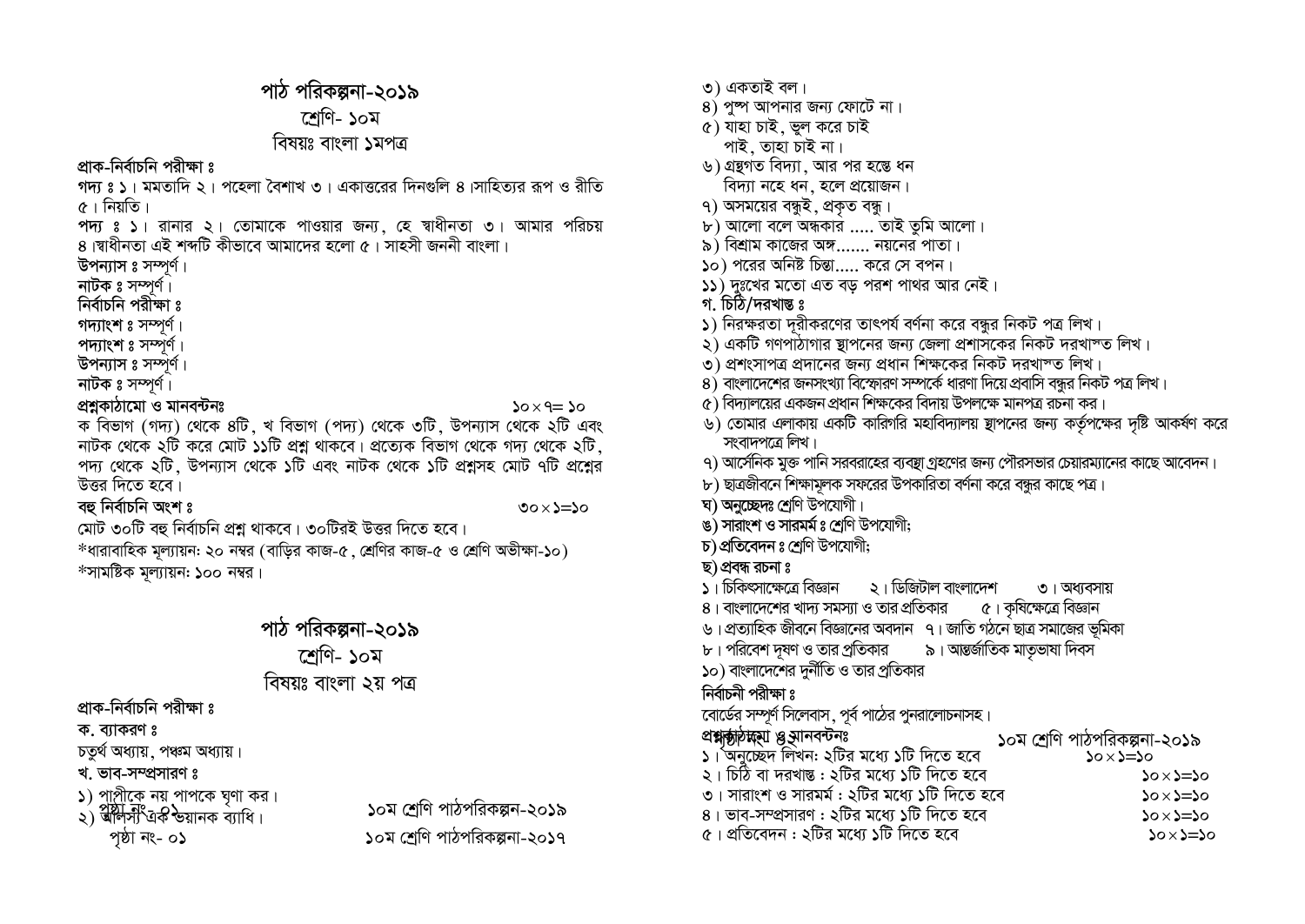# পাঠ পরিকল্পনা-২০১৯ শেণি- ১০ম

#### বিষয়ঃ বাংলা ১মপত্র

প্রাক-নির্বাচনি পরীক্ষা ঃ

গদ্য ঃ ১। মমতাদি ২। পহেলা বৈশাখ ৩। একাত্তরের দিনগুলি ৪।সাহিত্যর রূপ ও রীতি ৫। নিয়তি।

পদ্য ঃ ১। রানার ২। তোমাকে পাওয়ার জন্য, হে স্বাধীনতা ৩। আমার পরিচয়<br>৪।স্বাধীনতা এই শব্দটি কীভাবে আমাদের হলো ৫।সাহসী জননী বাংলা।

উপন্যাস ঃ সম্পর্ণ।

নাটক ঃ সম্পূর্ণ।

নিৰ্বাচনি পরীক্ষা ঃ

গদ্যাংশ ঃ সম্পূর্ণ।

পদ্যাংশ ঃ সম্পূর্ণ।

উপন্যাস ঃ সম্পর্ণ। নাটক ঃ সম্পূর্ণ।

#### প্ৰশ্নকাঠামো ও মানবন্টনঃ

 $20 \times 9 = 20$ 

ক বিভাগ (গদ্য) থেকে ৪টি, খ বিভাগ (পদ্য) থেকে ৩টি, উপন্যাস থেকে ২টি এবং নাটক থেকে ২টি করে মোট ১১টি প্রশ্ন থাকবে। প্রত্যেক বিভাগ থেকে গদ্য থেকে ২টি পদ্য থেকে ২টি, উপন্যাস থেকে ১টি এবং নাটক থেকে ১টি প্রশ্নসহ মোট ৭টি প্রশ্নের উত্তর দিতে হবে।

বহু নিৰ্বাচনি অংশ ঃ

৩০ $\times$ ১ $=$ ১০

মোট ৩০টি বহু নির্বাচনি প্রশ্ন থাকবে। ৩০টিরই উত্তর দিতে হবে।

\*ধারাবাহিক মূল্যায়ন: ২০ নম্বর (বাড়ির কাজ-৫ , শ্রেণির কাজ-৫ ও শ্রেণি অভীক্ষা-১০) \*সামষ্টিক মূল্যায়ন: ১০০ নম্বর

## পাঠ পরিকল্পনা-২০১৯

শ্ৰেণি- ১০ম

বিষয়ঃ বাংলা ২য় পত্র

প্রাক-নির্বাচনি পরীক্ষা ঃ

ক. ব্যাকরণ ঃ

চতুৰ্থ অধ্যায়, পঞ্চম অধ্যায়।

খ. ভাব-সম্প্রসারণ ঃ

১) পাপ্রীকে নয় পাপকে ঘৃণা কর।

২) ৰীপ্ৰীস এক ভয়ানক ব্যাধি। পৃষ্ঠা নং- ০১

১০ম শ্রেণি পাঠপরিকল্পন-২০১৯ ১০ম শ্রেণি পাঠপরিকল্পনা-২০১৭

- ৩) একতাই বল।
- $8)$  পুষ্প আপনার জন্য ফোটে না।
- ৫) যাহা চাই, ভুল করে চাই
- পাই. তাহা চাই না।
- ৬) গ্রন্থগত বিদ্যা, আর পর হস্তে ধন
- বিদ্যা নহে ধন, হলে প্রয়োজন।
- ৭) অসময়ের বন্ধুই, প্রকৃত বন্ধু।
- ৮) আলো বলে অন্ধকার ..... তাই তুমি আলো।
- ৯) বিশ্রাম কাজের অঙ্গ....... নয়নের পাতা।
- $\omega$ ) পরের অনিষ্ট চিন্তা ..... করে সে বপন।
- ১১) দুঃখের মতো এত বড় পরশ পাথর আর নেই।
- গ. চিঠি/দরখান্ত ঃ
- ১) নিরক্ষরতা দূরীকরণের তাৎপর্য বর্ণনা করে বন্ধুর নিকট পত্র লিখ।
- ২) একটি গণপাঠাগার স্থাপনের জন্য জেলা প্রশাসকের নিকট দরখাস্ত লিখ।
- ৩) প্রশংসাপত্র প্রদানের জন্য প্রধান শিক্ষকের নিকট দরখাস্ত লিখ।
- $8)$  বাংলাদেশের জনসংখ্যা বিস্ফোরণ সম্পর্কে ধারণা দিয়ে প্রবাসি বন্ধুর নিকট পত্র লিখ।
- $\alpha$ ) বিদ্যালয়ের একজন প্রধান শিক্ষকের বিদায় উপলক্ষে মানপত্র রচনা কর।
- ৬) তোমার এলাকায় একটি কারিগরি মহাবিদ্যালয় স্থাপনের জন্য কর্তৃপক্ষের দৃষ্টি আকর্ষণ করে সংবাদপত্রে লিখ।
- ৭) আর্সেনিক মুক্ত পানি সরবরাহের ব্যবস্থা গ্রহণের জন্য পৌরসভার চেয়ারম্যানের কাছে আবেদন।
- ৮) ছাত্রজীবনে শিক্ষামূলক সফরের উপকারিতা বর্ণনা করে বন্ধর কাছে পত্র।
- ঘ) অনুচ্ছেদঃ শ্ৰেণি উপযোগী।
- ঙ) সারাংশ ও সারমর্ম ঃ শ্রেণি উপযোগী;
- চ) প্ৰতিবেদন ঃ শ্ৰেণি উপযোগী;
- ছ) প্ৰবন্ধ রচনা ঃ
- ১। চিকিৎসাক্ষেত্রে বিজ্ঞান ২। ডিজিটাল বাংলাদেশ ৩। অধ্যবসায়
- ৫। কৃষিক্ষেত্রে বিজ্ঞান ৪। বাংলাদেশের খাদ্য সমস্যা ও তার প্রতিকার
- ৬। প্রত্যাহিক জীবনে বিজ্ঞানের অবদান ৭। জাতি গঠনে ছাত্র সমাজের ভূমিকা
- ৯। আন্তর্জাতিক মাতৃভাষা দিবস ৮। পরিবেশ দূষণ ও তার প্রতিকার
- ১০) বাংলাদেশের দুর্নীতি ও তার প্রতিকার

#### নিৰ্বাচনী পরীক্ষা ঃ

বোর্ডের সম্পূর্ণ সিলেবাস, পূর্ব পাঠের পুনরালোচনাসহ।

| প্ৰশ্নজীগক্ষী প্ৰূমানবন্দুঃ                   | ১০ম শ্রেণি পাঠপরিকল্পনা-২০১৯ |
|-----------------------------------------------|------------------------------|
| ১। অনুচেইদ লিখন: ২টির মধ্যে ১টি দিতে হবে      | $oc=20$                      |
| ২। চিঠি বা দরখান্ত: ২টির মধ্যে ১টি দিতে হবে   | $20 \times 2 = 20$           |
| ৩। সারাংশ ও সারমর্ম : ২টির মধ্যে ১টি দিতে হবে | $0 \times 2 = 50$            |
| ৪। ভাব-সম্প্রসারণ : ২টির মধ্যে ১টি দিতে হবে   | $20 \times 2 = 20$           |
| ৫। প্রতিবেদন : ২টির মধ্যে ১টি দিতে হবে        | $20 \times 2 = 20$           |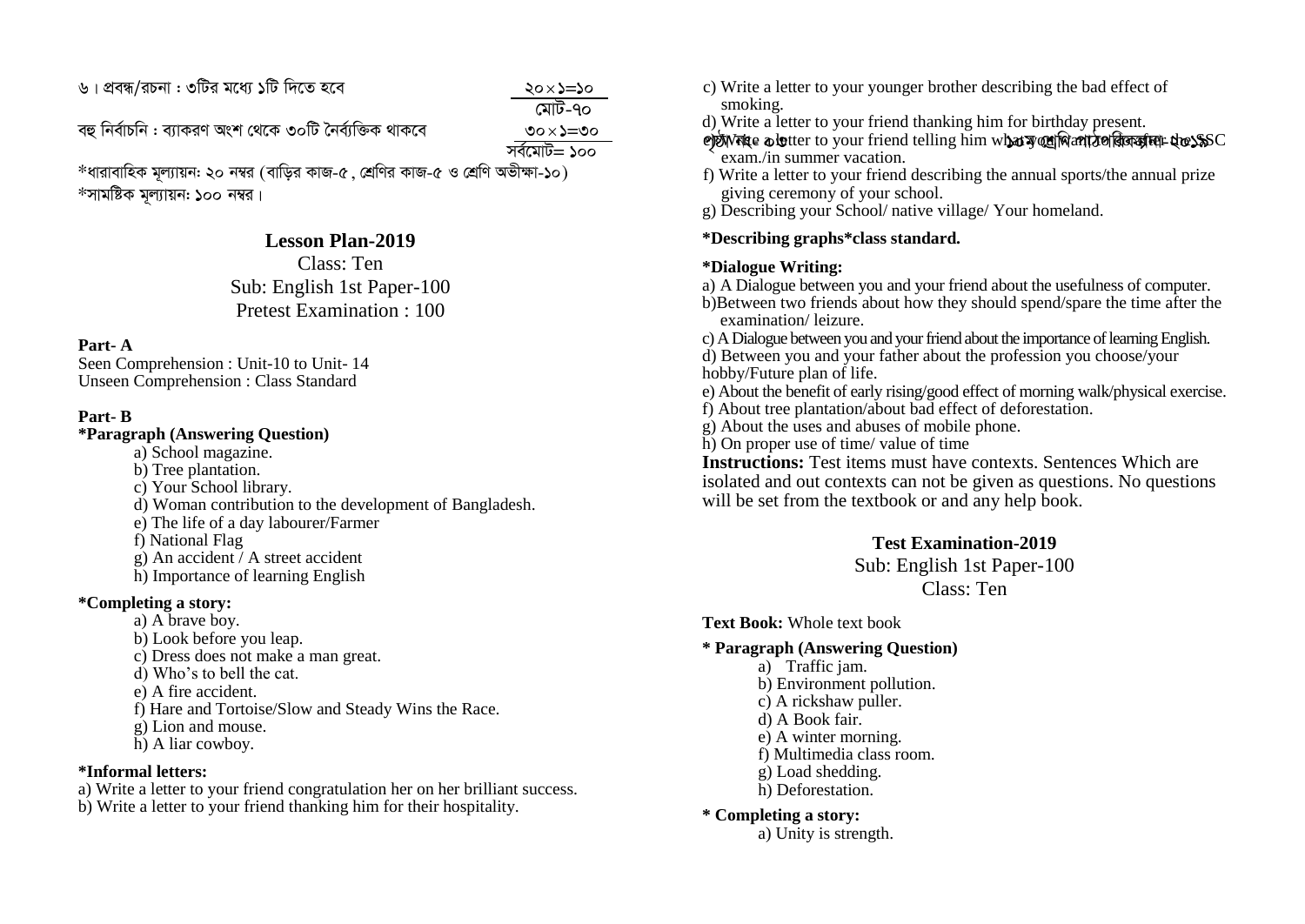৬। প্রবন্ধ/রচনা : ৩টির মধ্যে ১টি দিতে হবে $\sim$  ১ $\sim$  ১ $\sim$  20 $\times$ ১ $\approx$ ১ $\approx$ 

 $\ge$   $\ge$ কাৰী সম্ভাৱনাৰ সম্ভাৱনাৰ সম্ভাৱনাৰ সম্ভাৱনাৰ সম্ভাৱনাৰ সম্ভাৱনাৰ সম্ভাৱনাৰ সম্ভাৱনাৰ সম্ভাৱনাৰ সম্ভাৱনাৰ সম্ভা<br>প্ৰতিষ্ঠা সম্ভাৱনাৰ সম্ভাৱনাৰ সম্ভাৱনাৰ সম্ভাৱনাৰ সম্ভাৱনাৰ সম্ভাৱনাৰ সম্ভাৱনাৰ সম্ভাৱনাৰ সম্ভাৱনাৰ সম্ভাৱনাৰ  $\times$ ১ $=$ ৩০ সৰ্বমোট $=$  ১০০

ৰহু নিৰ্বাচনি : ব্যাকরণ অংশ থেকে ৩০টি নৈৰ্ব্যক্তিক থাকবে

 $*$ ধারাবাহিক মল্যায়ন: ২০ নম্বর (বাডির কাজ-৫, শ্রেণির কাজ-৫ ও শ্রেণি অভীক্ষা-১০)  $*$ সামষ্টিক মূল্যায়ন: ১০০ নম্বর।

#### **Lesson Plan-2019**

Class: Ten Sub: English 1st Paper-100 Pretest Examination : 100

#### **Part- A**

Seen Comprehension : Unit-10 to Unit- 14 Unseen Comprehension : Class Standard

#### **Part- B**

#### **\*Paragraph (Answering Question)**

- a) School magazine.
- b) Tree plantation.
- c) Your School library.
- d) Woman contribution to the development of Bangladesh.
- e) The life of a day labourer/Farmer
- f) National Flag
- g) An accident / A street accident
- h) Importance of learning English

#### **\*Completing a story:**

- a) A brave boy.
- b) Look before you leap.
- c) Dress does not make a man great.
- d) Who's to bell the cat.
- e) A fire accident.
- f) Hare and Tortoise/Slow and Steady Wins the Race.
- g) Lion and mouse.
- h) A liar cowboy.

#### **\*Informal letters:**

a) Write a letter to your friend congratulation her on her brilliant success.

b) Write a letter to your friend thanking him for their hospitality.

- c) Write a letter to your younger brother describing the bad effect of smoking.
- d) Write a letter to your friend thanking him for birthday present.
- e)N nie o l<del>o</del>tter to your friend telling him what y cu Mant to dia after the SSC exam./in summer vacation.
- f) Write a letter to your friend describing the annual sports/the annual prize giving ceremony of your school.
- g) Describing your School/ native village/ Your homeland.

#### **\*Describing graphs\*class standard.**

#### **\*Dialogue Writing:**

a) A Dialogue between you and your friend about the usefulness of computer.

b)Between two friends about how they should spend/spare the time after the examination/ leizure.

c) A Dialogue between you and your friend about the importance of learning English. d) Between you and your father about the profession you choose/your hobby/Future plan of life.

- e) About the benefit of early rising/good effect of morning walk/physical exercise.
- f) About tree plantation/about bad effect of deforestation.
- g) About the uses and abuses of mobile phone.
- h) On proper use of time/ value of time

**Instructions:** Test items must have contexts. Sentences Which are isolated and out contexts can not be given as questions. No questions will be set from the textbook or and any help book.

#### **Test Examination-2019**

Sub: English 1st Paper-100 Class: Ten

**Text Book:** Whole text book

#### **\* Paragraph (Answering Question)**

- a) Traffic jam.
- b) Environment pollution.
- c) A rickshaw puller.
- d) A Book fair.
- e) A winter morning.
- f) Multimedia class room.
- g) Load shedding.
- h) Deforestation.

#### **\* Completing a story:**

a) Unity is strength.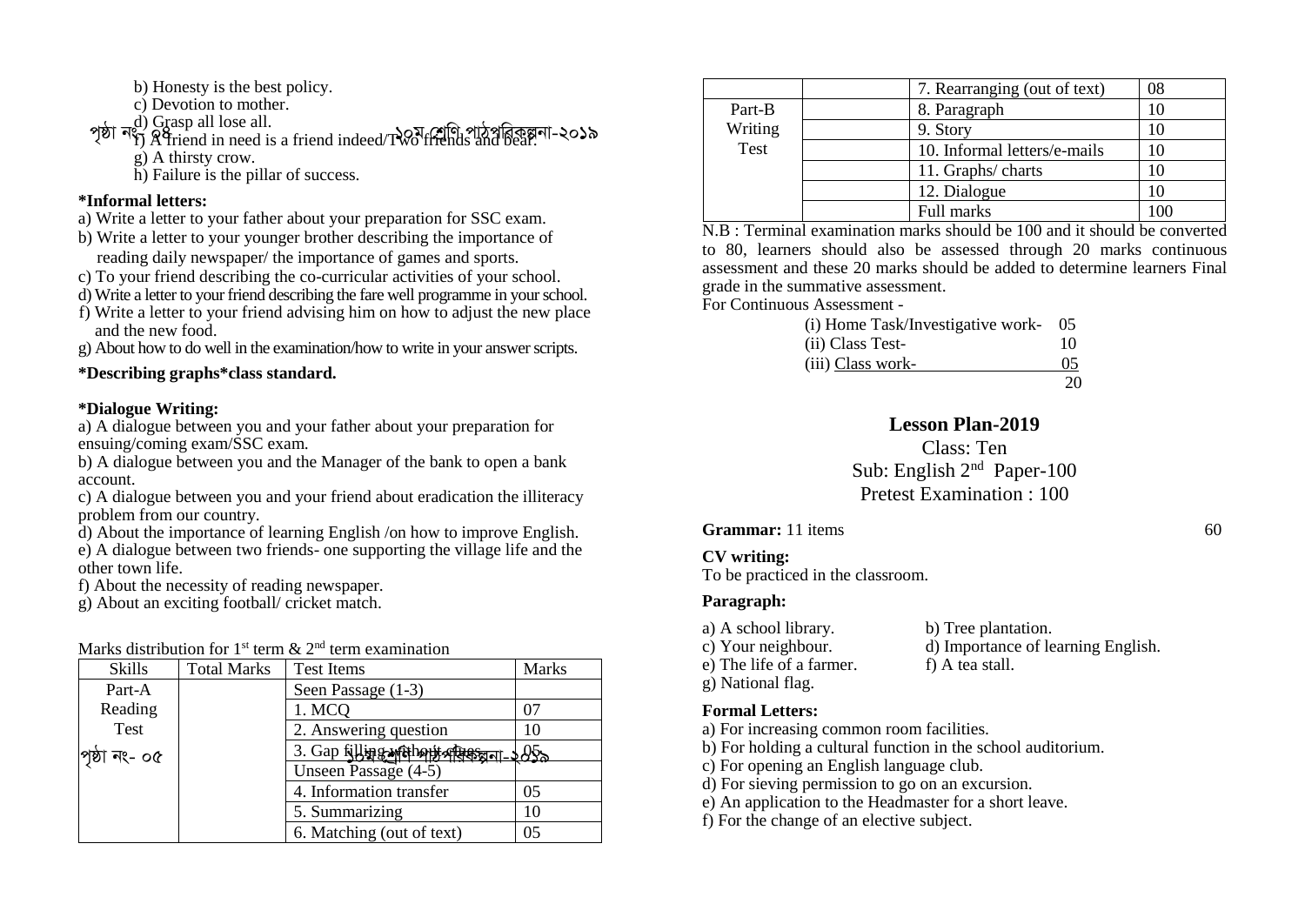- b) Honesty is the best policy.
- c) Devotion to mother.
- d) Grasp all lose all.
- পৃষ্ঠা নং") এ asp an lose an.<br>পৃষ্ঠা নং") A friend in need is a friend indeed/TWo friends and bear.
	- g) A thirsty crow.
	- h) Failure is the pillar of success.

#### **\*Informal letters:**

- a) Write a letter to your father about your preparation for SSC exam.
- b) Write a letter to your younger brother describing the importance of reading daily newspaper/ the importance of games and sports.
- c) To your friend describing the co-curricular activities of your school.
- d) Write a letter to your friend describing the fare well programme in your school.
- f) Write a letter to your friend advising him on how to adjust the new place and the new food.
- g) About how to do well in the examination/how to write in your answer scripts.

#### **\*Describing graphs\*class standard.**

#### **\*Dialogue Writing:**

a) A dialogue between you and your father about your preparation for ensuing/coming exam/SSC exam.

b) A dialogue between you and the Manager of the bank to open a bank account.

c) A dialogue between you and your friend about eradication the illiteracy problem from our country.

d) About the importance of learning English /on how to improve English. e) A dialogue between two friends- one supporting the village life and the other town life.

f) About the necessity of reading newspaper.

g) About an exciting football/ cricket match.

#### Marks distribution for 1<sup>st</sup> term  $\&$  2<sup>nd</sup> term examination

| <b>Skills</b> | <b>Total Marks</b> | <b>Test Items</b>               | Marks  |
|---------------|--------------------|---------------------------------|--------|
| Part-A        |                    | Seen Passage (1-3)              |        |
| Reading       |                    | 1. MCQ                          | 07     |
| Test          |                    | 2. Answering question           | 10     |
| পৃষ্ঠা নং- ০৫ |                    | 3. Gap filling without of gesan | $95 -$ |
|               |                    | Unseen Passage (4-5)            |        |
|               |                    | 4. Information transfer         | 05     |
|               |                    | 5. Summarizing                  | 10     |
|               |                    | 6. Matching (out of text)       | 05     |

|         | 7. Rearranging (out of text) | 08       |
|---------|------------------------------|----------|
| Part-B  | 8. Paragraph                 |          |
| Writing | 9. Story                     |          |
| Test    | 10. Informal letters/e-mails |          |
|         | 11. Graphs/charts            |          |
|         | 12. Dialogue                 |          |
|         | Full marks                   | $\Omega$ |

N.B : Terminal examination marks should be 100 and it should be converted to 80, learners should also be assessed through 20 marks continuous assessment and these 20 marks should be added to determine learners Final grade in the summative assessment.

For Continuous Assessment -

| (i) Home Task/Investigative work- 05 |     |
|--------------------------------------|-----|
| (ii) Class Test-                     | 10  |
| (iii) Class work-                    | 0.5 |
|                                      | 20  |

#### **Lesson Plan-2019**

Class: Ten Sub: English 2<sup>nd</sup> Paper-100 Pretest Examination : 100

**Grammar:** 11 items 60

#### **CV writing:**

To be practiced in the classroom.

#### **Paragraph:**

| a) A school library.     | b) Tree plantation.                |
|--------------------------|------------------------------------|
| c) Your neighbour.       | d) Importance of learning English. |
| e) The life of a farmer. | f) A tea stall.                    |
| g) National flag.        |                                    |

#### **Formal Letters:**

a) For increasing common room facilities.

- b) For holding a cultural function in the school auditorium.
- c) For opening an English language club.
- d) For sieving permission to go on an excursion.
- e) An application to the Headmaster for a short leave.
- f) For the change of an elective subject.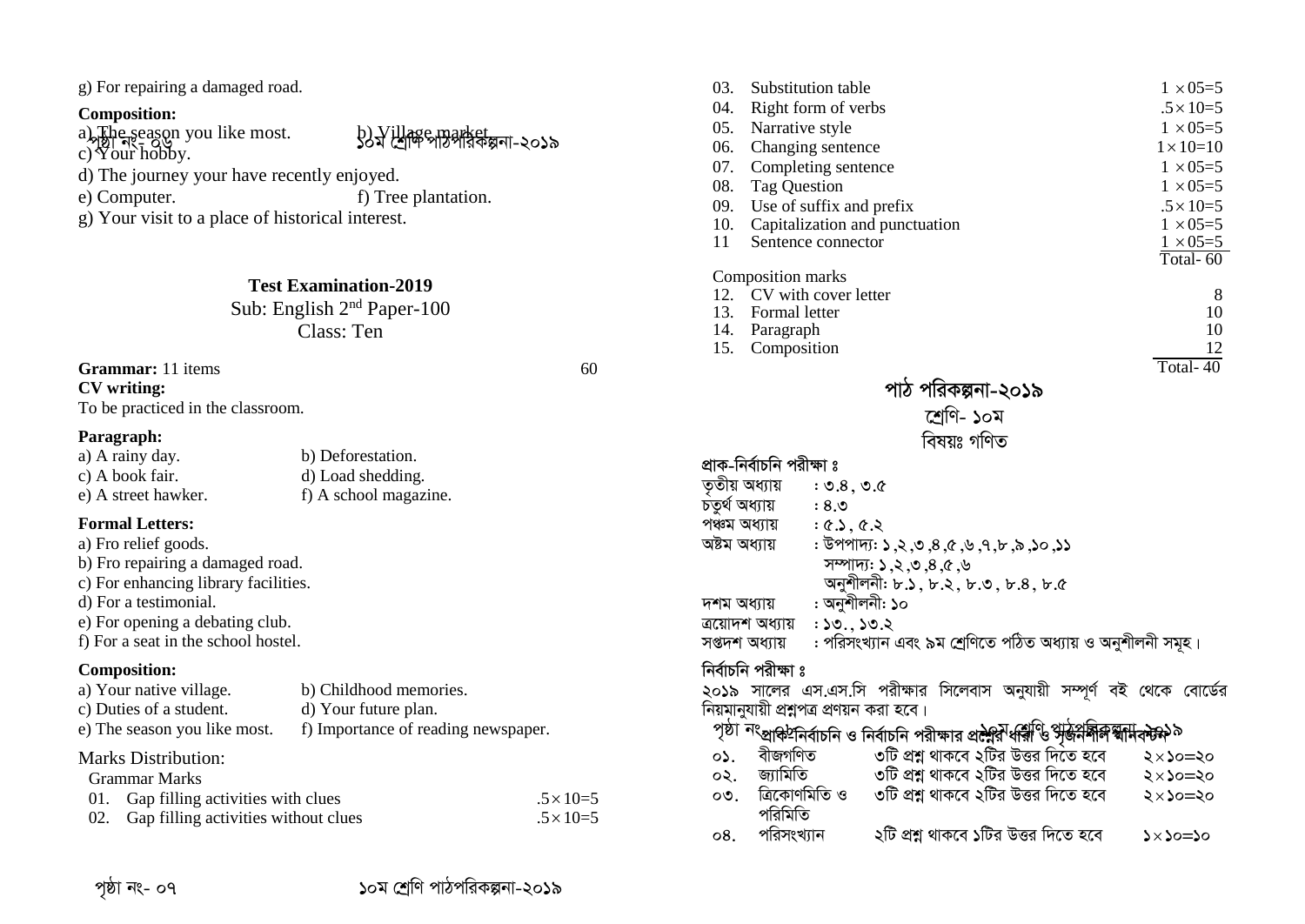g) For repairing a damaged road.

#### **Composition:**

a) The season you like most.  $\{b\}$  Village market.

a <sub>bi</sub>gi easyn you like most.<br>c) Your hobby.

d) The journey your have recently enjoyed.<br>
e) Computer. f) Tree

 $\epsilon$ ) Tree plantation.

g) Your visit to a place of historical interest.

#### **Test Examination-2019**

Sub: English 2nd Paper-100 Class: Ten

#### **Grammar:** 11 items 60

**CV writing:** 

To be practiced in the classroom.

#### **Paragraph:**

| a) A rainy day.     | b) Deforestation.     |
|---------------------|-----------------------|
| c) A book fair.     | d) Load shedding.     |
| e) A street hawker. | f) A school magazine. |

#### **Formal Letters:**

- a) Fro relief goods. b) Fro repairing a damaged road. c) For enhancing library facilities. d) For a testimonial. e) For opening a debating club.
- f) For a seat in the school hostel.

#### **Composition:**

| a) Your native village.      | b) Childhood memories.              |
|------------------------------|-------------------------------------|
| c) Duties of a student.      | d) Your future plan.                |
| e) The season you like most. | f) Importance of reading newspaper. |

#### Marks Distribution: Grammar Marks

| Grammar Marks                            |                  |
|------------------------------------------|------------------|
| 01. Gap filling activities with clues    | $.5 \times 10=5$ |
| 02. Gap filling activities without clues | $.5 \times 10=5$ |

| 03.            | Substitution table                        |                                                                                                                                                                    | $1 \times 05 = 5$  |
|----------------|-------------------------------------------|--------------------------------------------------------------------------------------------------------------------------------------------------------------------|--------------------|
| 04.            | Right form of verbs                       |                                                                                                                                                                    | $.5 \times 10=5$   |
| 05.            | Narrative style                           |                                                                                                                                                                    | $1 \times 05 = 5$  |
| 06.            | Changing sentence                         |                                                                                                                                                                    | $1 \times 10 = 10$ |
| 07.            | Completing sentence                       |                                                                                                                                                                    | $1 \times 05 = 5$  |
| 08.            | <b>Tag Question</b>                       |                                                                                                                                                                    | $1 \times 05 = 5$  |
| 09.            | Use of suffix and prefix                  |                                                                                                                                                                    | $.5 \times 10=5$   |
| 10.            | Capitalization and punctuation            |                                                                                                                                                                    | $1 \times 05 = 5$  |
| 11             | Sentence connector                        |                                                                                                                                                                    | $1 \times 05 = 5$  |
|                |                                           |                                                                                                                                                                    | Total-60           |
|                | Composition marks                         |                                                                                                                                                                    |                    |
| 12.            | CV with cover letter<br>13. Formal letter |                                                                                                                                                                    | 8<br>10            |
|                | 14. Paragraph                             |                                                                                                                                                                    | 10                 |
| 15.            | Composition                               |                                                                                                                                                                    | 12                 |
|                |                                           |                                                                                                                                                                    | Total- $40$        |
|                |                                           | পাঠ পরিকল্পনা-২০১৯                                                                                                                                                 |                    |
|                |                                           | শ্ৰেণি- ১০ম                                                                                                                                                        |                    |
|                |                                           | বিষয়ঃ গণিত                                                                                                                                                        |                    |
|                |                                           |                                                                                                                                                                    |                    |
|                | প্রাক-নির্বাচনি পরীক্ষা ঃ                 |                                                                                                                                                                    |                    |
| তৃতীয় অধ্যায় | : 9.8, 9.0                                |                                                                                                                                                                    |                    |
| চতুৰ্থ অধ্যায় | 0.8:                                      |                                                                                                                                                                    |                    |
| পঞ্চম অধ্যায়  | : 6.3, 6.3                                |                                                                                                                                                                    |                    |
| অষ্টম অধ্যায়  |                                           | $:$ উপপাদ্য: ১,২,৩,৪,৫,৬,৭,৮,৯,১১                                                                                                                                  |                    |
|                |                                           | সম্পাদ্য: ১,২,৩,৪,৫,৬                                                                                                                                              |                    |
|                |                                           | অনুশীলনী: ৮.১, ৮.২, ৮.৩, ৮.৪, ৮.৫                                                                                                                                  |                    |
| দশম অধ্যায়    | : অনুশীলনী: ১০                            |                                                                                                                                                                    |                    |
|                | $: 50.$ , $50.5$<br>ত্ৰয়োদশ অধ্যায়      |                                                                                                                                                                    |                    |
|                | সপ্তদশ অধ্যায়                            | : পরিসংখ্যান এবং ৯ম শ্রেণিতে পঠিত অধ্যায় ও অনুশীলনী সমূহ।                                                                                                         |                    |
|                | নিৰ্বাচনি পরীক্ষা ঃ                       |                                                                                                                                                                    |                    |
|                |                                           | ২০১৯ সালের এস.এস.সি পরীক্ষার সিলেবাস অনুযায়ী সম্পূর্ণ বই থেকে বোর্ডের                                                                                             |                    |
|                | নিয়মানুযায়ী প্রশ্নপত্র প্রণয়ন করা হবে। |                                                                                                                                                                    |                    |
|                |                                           | <sup>পৃষ্ঠা</sup> <sup>নং</sup> প্রাক <sup>া</sup> নির্বাচনি ও নির্বাচনি পরীক্ষার প্র <del>ব</del> ্ণরীধর্মীঙি পৃষ্ <del>কির্মনীক্র শ্বা</del> মিক্টফ <sup>৯</sup> |                    |
| $\circ$ .      | বীজগণিত                                   | ৩টি প্রশ্ন থাকবে ২টির উত্তর দিতে হবে                                                                                                                               | ২×১০=২০            |
| ०२.            | জ্যামিতি                                  | ৩টি প্রশ্ন থাকবে ২টির উত্তর দিতে হবে                                                                                                                               | ২×১০=২০            |
| $\circ$ .      | ত্ৰিকোণমিতি ও                             | ৩টি প্রশ্ন থাকবে ২টির উত্তর দিতে হবে                                                                                                                               | $2 \times 20 = 20$ |
|                | পরিমিতি                                   |                                                                                                                                                                    |                    |
| 08.            | পরিসংখ্যান                                | ২টি প্রশ্ন থাকবে ১টির উত্তর দিতে হবে                                                                                                                               | $0 \leq x \leq x$  |
|                |                                           |                                                                                                                                                                    |                    |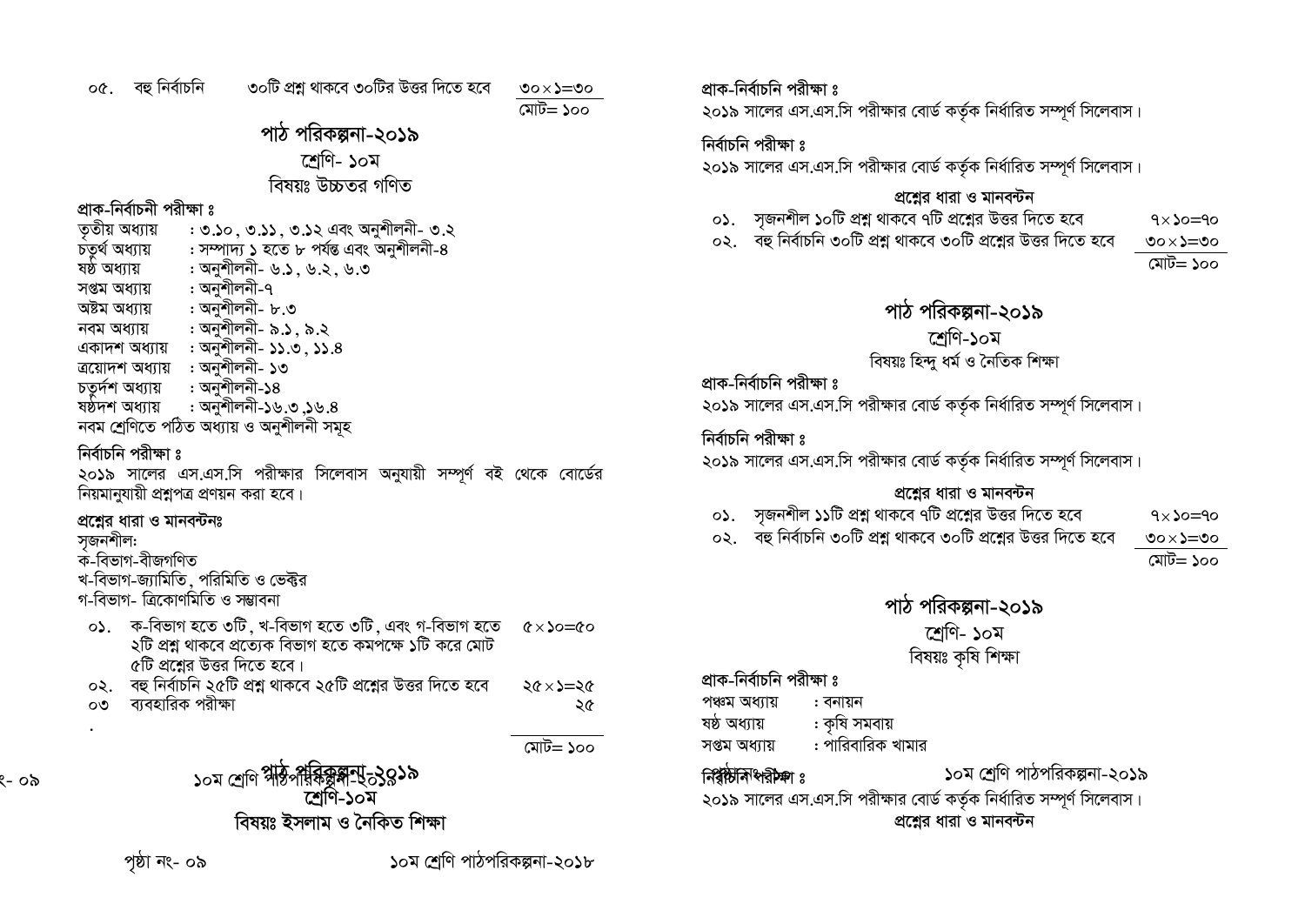০৫. বহু নিৰ্বাচনি

মোট $=$ ১০০

#### পাঠ পরিকল্পনা-২০১৯ শেণি- ১০ম বিষয়ঃ উচ্চতব গণিত

#### প্রাক-নির্বাচনী পরীক্ষা ঃ

ততীয় অধ্যায় : ৩.১০ , ৩.১১ , ৩.১২ এবং অনুশীলনী- ৩.২ : সম্পাদ্য ১ হতে ৮ পৰ্যন্ত এবং অনুশীলনী-৪ চতৰ্থ অধ্যায় : অনুশীলনী- ৬.১. ৬.২. ৬.৩ ষষ্ঠ অধ্যায় : অনুশীলনী-৭ সপ্তম অধ্যায় : অনুশীলনী- ৮.৩ অষ্টম অধ্যায় : অনুশীলনী- ৯.১, ৯.২ নবম অধ্যায় একাদশ অধ্যায় : অনুশীলনী- ১১.৩, ১১.৪ ত্রয়োদশ অধ্যায় : অনুশীলনী- ১৩ চতুৰ্দশ অধ্যায় : অনুশীলনী-১৪ : অনুশীলনী-১৬.৩,১৬.৪ ষষ্ঠদশ অধ্যায় নবম শ্ৰেণিতে পঠিত অধ্যায় ও অনুশীলনী সমূহ

### নিৰ্বাচনি পরীক্ষা ঃ

২০১৯ সালের এস.এস.সি পরীক্ষার সিলেবাস অনুযায়ী সম্পূর্ণ বই থেকে বোর্ডের নিয়মানুযায়ী প্রশ্নপত্র প্রণয়ন করা হবে।

#### প্রশ্নের ধারা ও মানবন্টনঃ

#### সজনশীল:

- ক-বিভাগ-বীজগণিত
- খ-বিভাগ-জ্যামিতি, পরিমিতি ও ভেক্টর
- গ-বিভাগ- ত্ৰিকোণমিতি ও সম্ভাবনা
- ০১. ক-বিভাগ হতে ৩টি, খ-বিভাগ হতে ৩টি, এবং গ-বিভাগ হতে  $\alpha \times \lambda_0 = \alpha_0$ ২টি প্রশ্ন থাকবে প্রত্যেক বিভাগ হতে কমপক্ষে ১টি করে মোট ৫টি প্রশ্নের উত্তর দিতে হবে।
- ০২. বহু নির্বাচনি ২৫টি প্রশ্ন থাকবে ২৫টি প্রশ্নের উত্তর দিতে হবে  $26 \times 2 = 26$ ব্যবহারিক পরীক্ষা രൗ ২৫
	- মোট= ১০০

ং- ০৯

 $_{50}$ ম শেণি পীষ্টিপৰিষ্কিষ্কান্ট 3850 শ্রেণি-১০ম বিষয়ঃ ইসলাম ও নৈকিত শিক্ষা

পষ্ঠা নং- ০৯

১০ম শ্ৰেণি পাঠপরিকল্পনা-২০১৮

প্রাক-নির্বাচনি পরীক্ষা ঃ

২০১৯ সালের এস.এস.সি পরীক্ষার বোর্ড কর্তৃক নির্ধারিত সম্পূর্ণ সিলেবাস।

#### নিৰ্বাচনি পরীক্ষা ঃ

২০১৯ সালের এস.এস.সি পরীক্ষার বোর্ড কর্তৃক নির্ধারিত সম্পূর্ণ সিলেবাস।

#### প্রশ্নের ধারা ও মানবন্টন

- ০১. সজনশীল ১০টি প্রশ্ন থাকবে ৭টি প্রশ্নের উত্তর দিতে হবে ۹×۵=۵<
- ০২. বহু নির্বাচনি ৩০টি প্রশ্ন থাকবে ৩০টি প্রশ্নের উত্তর দিতে হবে ৩০ $\leq$ ২০০

মোট= ১০০

#### পাঠ পরিকল্পনা-২০১৯

#### শ্ৰেণি-১০ম

#### বিষয়ঃ হিন্দু ধৰ্ম ও নৈতিক শিক্ষা

#### প্রাক-নির্বাচনি পরীক্ষা ঃ

২০১৯ সালের এস.এস.সি পরীক্ষার বোর্ড কর্তৃক নির্ধারিত সম্পূর্ণ সিলেবাস।

#### নিৰ্বাচনি পরীক্ষা ঃ

২০১৯ সালের এস.এস.সি পরীক্ষার বোর্ড কর্তৃক নির্ধারিত সম্পূর্ণ সিলেবাস।

#### প্রশ্নের ধারা ও মানবন্টন

- ০১. সজনশীল ১১টি প্রশ্ন থাকবে ৭টি প্রশ্নের উত্তর দিতে হবে
- ০২. বহু নির্বাচনি ৩০টি প্রশ্ন থাকবে ৩০টি প্রশ্নের উত্তর দিতে হবে

৩০ $\leq$ ২০০

 $9 \times \text{O} = 90$ 

# মোট= ১০০

### পাঠ পরিকল্পনা-২০১৯ শেণি- ১০ম বিষয়ঃ কৃষি শিক্ষা

প্রাক-নির্বাচনি পরীক্ষা ঃ

 $\widehat{\mathsf{r}}$   $\widehat{\mathsf{r}}$   $\widehat{\mathsf{r}}$   $\widehat{\mathsf{r}}$   $\widehat{\mathsf{r}}$   $\widehat{\mathsf{r}}$   $\widehat{\mathsf{r}}$   $\widehat{\mathsf{r}}$   $\widehat{\mathsf{r}}$   $\widehat{\mathsf{r}}$   $\widehat{\mathsf{r}}$   $\widehat{\mathsf{r}}$   $\widehat{\mathsf{r}}$   $\widehat{\mathsf{r}}$   $\widehat{\mathsf{r}}$   $\widehat{\mathsf{r}}$   $\widehat{\mathsf{r}}$   $\widehat{\mathsf{r}}$   $\widehat{\$ 

পঞ্চম অধ্যায় : বনায়ন

: কৃষি সমবায় ষষ্ঠ অধ্যায়

: পারিবারিক খামার সপ্তম অধ্যায়

# ১০ম শ্রেণি পাঠপরিকল্পনা-২০১৯

২০১৯ সালের এস.এস.সি পরীক্ষার বোর্ড কর্তৃক নির্ধারিত সম্পূর্ণ সিলেবাস। প্রশ্নের ধারা ও মানবন্টন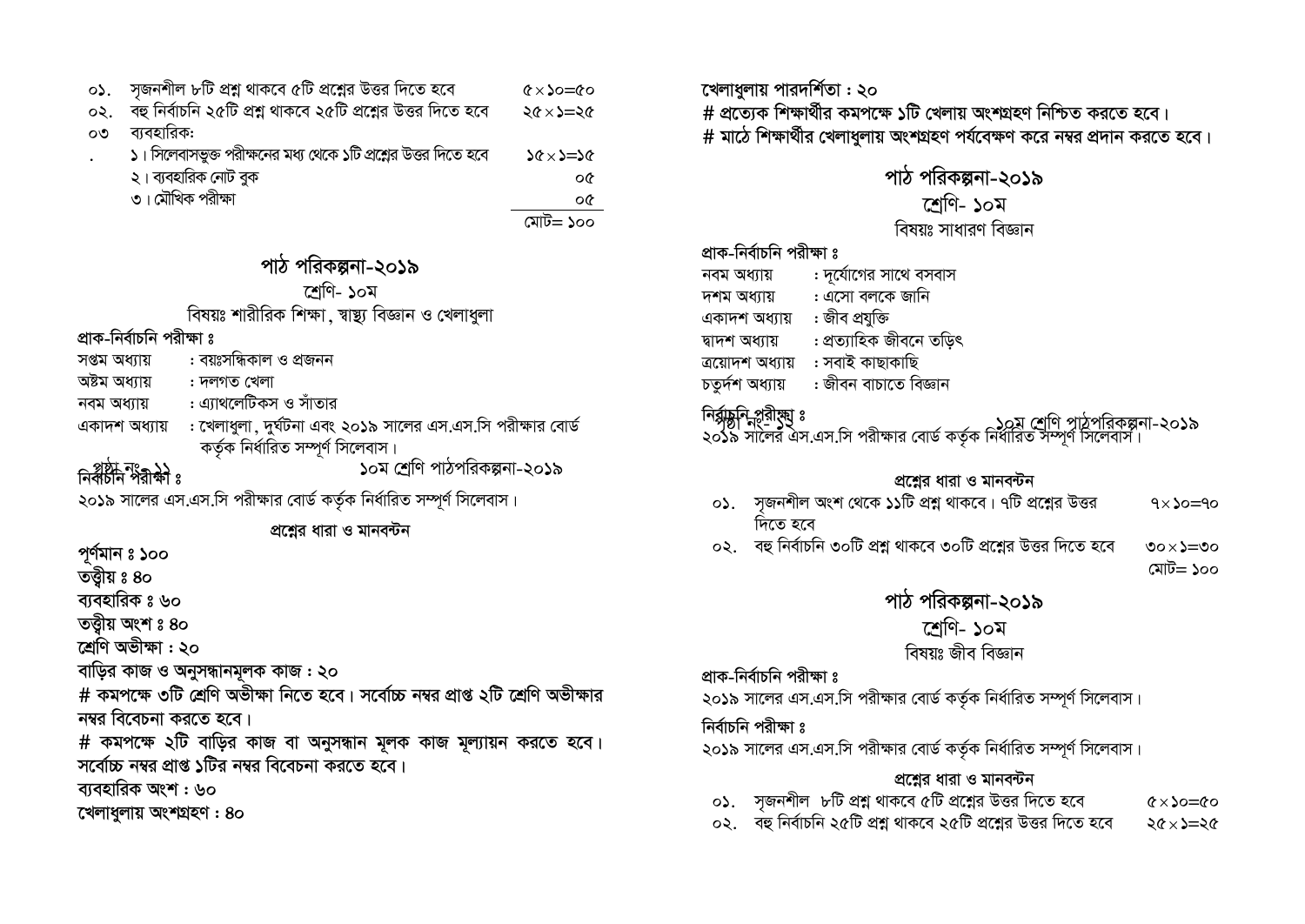| ०১.        | সজনশীল ৮টি প্রশ্ন থাকবে ৫টি প্রশ্নের উত্তর দিতে হবে             | $\circ \circ = \circ \circ$ |
|------------|-----------------------------------------------------------------|-----------------------------|
| $\infty$ . | বহু নির্বাচনি ২৫টি প্রশ্ন থাকবে ২৫টি প্রশ্নের উত্তর দিতে হবে    | $26 \times 2 = 26$          |
| o٥         | ব্যবহারিক:                                                      |                             |
|            | ১। সিলেবাসভুক্ত পরীক্ষনের মধ্য থেকে ১টি প্রশ্লের উত্তর দিতে হবে | $26 \times 2 = 26$          |
|            | ২। ব্যবহারিক নোট বুক                                            | οG                          |
|            | ৩। মৌখিক পরীক্ষা                                                | oG                          |

মোট= ১০০

# পাঠ পরিকল্পনা-২০১৯

শেণি- ১০ম

#### বিষয়ঃ শারীরিক শিক্ষা, স্বাস্থ্য বিজ্ঞান ও খেলাধুলা

#### প্রাক-নির্বাচনি পরীক্ষা ঃ

- : বয়ঃসন্ধিকাল ও প্ৰজনন সপ্তম অধ্যায়
- অষ্টম অধ্যায় : দলগত খেলা
- : এ্যাথলেটিকস ও সাঁতার নবম অধ্যায়
- : খেলাধুলা, দুর্ঘটনা এবং ২০১৯ সালের এস.এস.সি পরীক্ষার বোর্ড একাদশ অধ্যায় কৰ্তৃক নিৰ্ধারিত সম্পূৰ্ণ সিলেবাস।

# নির্বাচীন নংগ্রহ)<br>নির্বাচীন পরীক্ষা ঃ

১০ম শ্রেণি পাঠপরিকল্পনা-২০১৯

২০১৯ সালের এস.এস.সি পরীক্ষার বোর্ড কর্তৃক নির্ধারিত সম্পূর্ণ সিলেবাস।

প্রশ্নের ধারা ও মানবন্টন

পূর্ণমান ঃ ১০০

তত্তীয় ঃ ৪০

ব্যবহারিক ঃ ৬০

তত্তীয় অংশ ঃ ৪০

শ্ৰেণি অভীক্ষা: ২০

বাড়ির কাজ ও অনুসন্ধানমূলক কাজ : ২০

# কমপক্ষে ৩টি শ্রেণি অভীক্ষা নিতে হবে। সর্বোচ্চ নম্বর প্রাপ্ত ২টি শ্রেণি অভীক্ষার নম্বর বিবেচনা করতে হবে।

# কমপক্ষে ২টি বাড়ির কাজ বা অনুসন্ধান মূলক কাজ মূল্যায়ন করতে হবে। সর্বোচ্চ নম্বর প্রাপ্ত ১টির নম্বর বিবেচনা করতে হবে।

ব্যবহারিক অংশ : ৬০

খেলাধলায় অংশগ্ৰহণ : 80

খেলাধুলায় পারদর্শিতা : ২০ # প্রত্যেক শিক্ষার্থীর কমপক্ষে ১টি খেলায় অংশগ্রহণ নিশ্চিত করতে হবে। # মাঠে শিক্ষার্থীর খেলাধুলায় অংশগ্রহণ পর্যবেক্ষণ করে নম্বর প্রদান করতে হবে।

### পাঠ পরিকল্পনা-২০১৯

#### শ্ৰেণি- ১০ম

#### বিষয়ঃ সাধারণ বিজ্ঞান

#### প্রাক-নির্বাচনি পরীক্ষা ঃ

- : দুর্যোগের সাথে বসবাস নবম অধ্যায়
- : এসো বলকে জানি দশম অধ্যায়
- একাদশ অধ্যায় : জীব প্রযুক্তি
- : প্ৰত্যাহিক জীবনে তড়িৎ দ্বাদশ অধ্যায়
- ত্ৰয়োদশ অধ্যায় : সবাই কাছাকাছি
- : জীবন বাচাতে বিজ্ঞান চতৰ্দশ অধ্যায়

#### নির্রাচ্ননি প্ররীষ্ম ঃ

।শঙ্গাম্বাশুনগৃহী <sup>৪</sup><br>২০১৯ সালের এস.এস.সি পরীক্ষার বোর্ড কর্তৃক নির্ধারিত সম্পূর্ণ সিলেবাস।

#### প্রশ্নের ধারা ও মানবন্টন

- ০১. সজনশীল অংশ থেকে ১১টি প্রশ্ন থাকবে। ৭টি প্রশ্নের উত্তর  $9 \times 20 = 90$ দিতে হবে
- ০২. বহু নির্বাচনি ৩০টি প্রশ্ন থাকবে ৩০টি প্রশ্নের উত্তর দিতে হবে  $\circ \circ \times \circ \circ$

#### মোট= ১০০

#### পাঠ পরিকল্পনা-২০১৯

### শ্ৰেণি- ১০ম

#### বিষয়ঃ জীব বিজ্ঞান

#### প্রাক-নির্বাচনি পরীক্ষা ঃ

২০১৯ সালের এস.এস.সি পরীক্ষার বোর্ড কর্তৃক নির্ধারিত সম্পূর্ণ সিলেবাস।

#### নিৰ্বাচনি পরীক্ষা ঃ

২০১৯ সালের এস.এস.সি পরীক্ষার বোর্ড কর্তৃক নির্ধারিত সম্পূর্ণ সিলেবাস।

#### প্রশ্নের ধারা ও মানবন্টন

- ০১. সজনশীল ৮টি প্রশ্ন থাকবে ৫টি প্রশ্নের উত্তর দিতে হবে  $6 \times \lambda = 60$
- ০২. বহু নির্বাচনি ২৫টি প্রশ্ন থাকবে ২৫টি প্রশ্নের উত্তর দিতে হবে  $36 \times 2 = 26$
-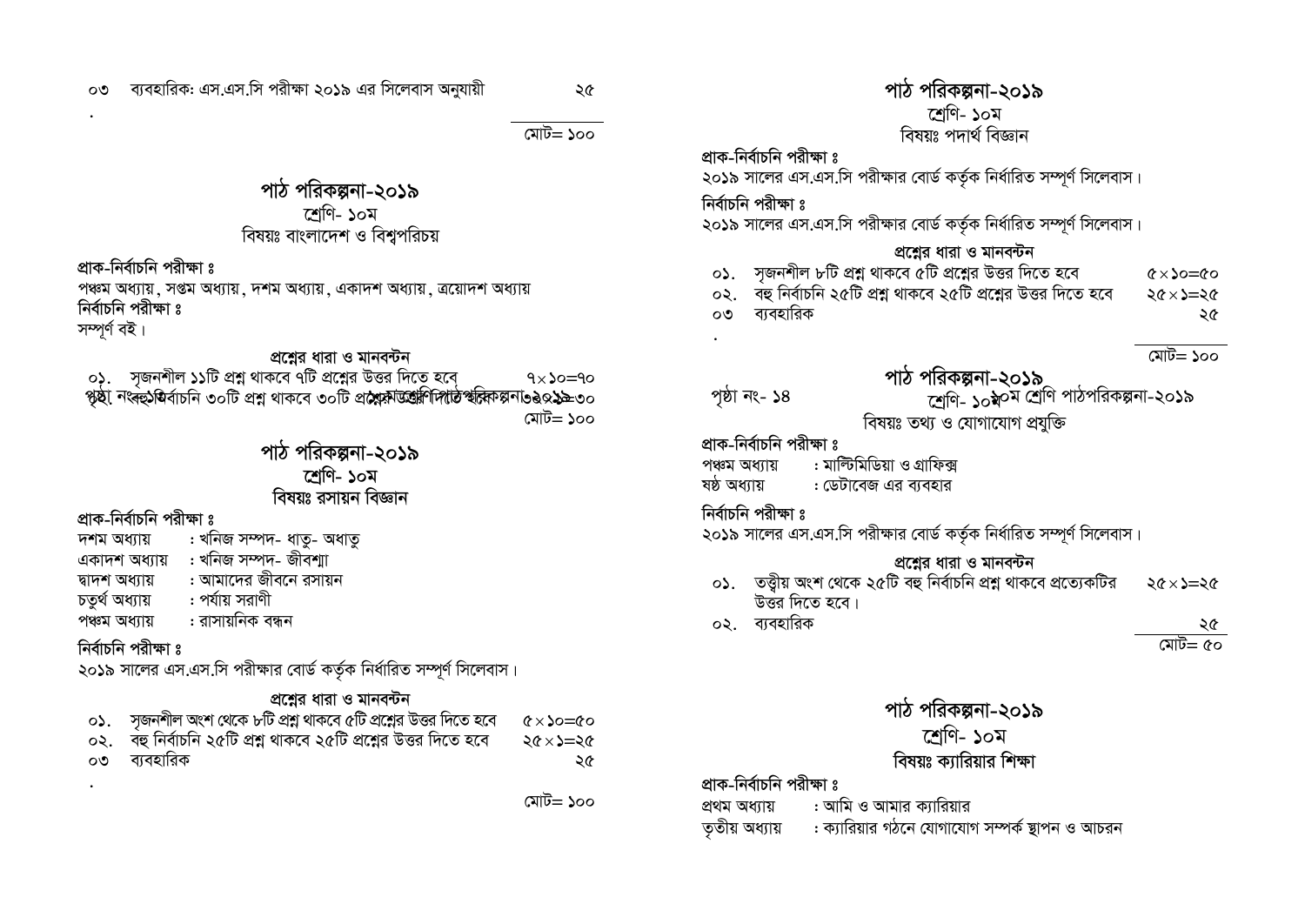#### ব্যবহারিক: এস.এস.সি পরীক্ষা ২০১৯ এর সিলেবাস অনুযায়ী OO.

মোট $=$ ১০০

#### পাঠ পরিকল্পনা-২০১৯ শেণি- ১০ম বিষয়ঃ বাংলাদেশ ও বিশ্বপরিচয়

প্রাক-নির্বাচনি পরীক্ষা ঃ

পঞ্চম অধ্যায়, সপ্তম অধ্যায়, দশম অধ্যায়, একাদশ অধ্যায়, ত্রয়োদশ অধ্যায় নিৰ্বাচনি পরীক্ষা ঃ

সম্পূৰ্ণ বই।

#### প্রশ্নের ধারা ও মানবন্টন

০১. সৃজনশীল ১১টি প্রশ্ন থাকবে ৭টি প্রশ্নের উত্তর দিতে হবে ৭×১০=৭০<br>পৃষ্ঠা নংৰহু\ষ্ঠবাচনি ৩০টি প্রশ্ন থাকবে ৩০টি প্র**শ্লেষ্ট অন্ত্রিণিদাঠি স্বর্লি**কল্পনা১৪০১৯৯৩০ মোট= ১০০

#### পাঠ পরিকল্পনা-২০১৯ শেণি- ১০ম বিষয়ঃ ৱসায়ন বিজ্ঞান

#### প্রাক-নির্বাচনি পরীক্ষা ঃ

- : খনিজ সম্পদ- ধাতু- অধাতু দশম অধ্যায় একাদশ অধ্যায় : খনিজ সম্পদ- জীবশা
- : আমাদের জীবনে রসায়ন দ্বাদশ অধ্যায়
- চতৰ্থ অধ্যায় : পর্যায় সরাণী
- : রাসায়নিক বন্ধন পঞ্চম অধ্যায়

#### নিৰ্বাচনি পরীক্ষা ঃ

২০১৯ সালের এস.এস.সি পরীক্ষার বোর্ড কর্তৃক নির্ধারিত সম্পূর্ণ সিলেবাস।

#### প্রশ্নের ধারা ও মানবন্টন

| $\circ$ ১. $\circ$ সজনশীল অংশ থেকে ৮টি প্রশ্ন থাকবে ৫টি প্রশ্নের উত্তর দিতে হবে $\quad$ ৫ $\times$ ১০=৫০ |    |
|----------------------------------------------------------------------------------------------------------|----|
| $\circ$ ২. বহু নির্বাচনি ২৫টি প্রশ্ন থাকবে ২৫টি প্রশ্নের উত্তর দিতে হবে ২৫ $\times$ ১=২৫                 |    |
| ০৩ ব্যবহারিক                                                                                             | ২৫ |

মোট= ১০০

#### পাঠ পরিকল্পনা-২০১৯ শেণি- ১০ম বিষয়ঃ পদাৰ্থ বিজ্ঞান

প্রাক-নির্বাচনি পরীক্ষা ঃ

২০১৯ সালের এস.এস.সি পরীক্ষার বোর্ড কর্তৃক নির্ধারিত সম্পূর্ণ সিলেবাস।

নিৰ্বাচনি পরীক্ষা ঃ

২০১৯ সালের এস.এস.সি পরীক্ষার বোর্ড কর্তৃক নির্ধারিত সম্পূর্ণ সিলেবাস।

#### প্রশ্নের ধারা ও মানবন্টন

০১. সজনশীল ৮টি প্রশ্ন থাকবে ৫টি প্রশ্নের উত্তর দিতে হবে  $\alpha \times \alpha = \alpha$ ০২. বহু নির্বাচনি ২৫টি প্রশ্ন থাকবে ২৫টি প্রশ্নের উত্তর দিতে হবে  $26 \times 2 = 26$ ০৩ ব্যবহারিক ২৫

মোট= ১০০

## পাঠ পরিকল্পনা-২০১৯

পৃষ্ঠা নং- ১৪

দ্রোগ- ১০ই প্রাণি পাঠপরিকল্পনা-২০১৯ বিষয়ঃ তথ্য ও যোগাযোগ প্ৰযুক্তি

প্রাক-নির্বাচনি পরীক্ষা ঃ

- : মাল্টিমিডিয়া ও গ্রাফিক্স পঞ্চম অধ্যায়
- : ডেটাবেজ এর ব্যবহার ষষ্ঠ অধ্যায়

নিৰ্বাচনি পরীক্ষা ঃ

২০১৯ সালের এস.এস.সি পরীক্ষার বোর্ড কর্তৃক নির্ধারিত সম্পূর্ণ সিলেবাস।

#### প্রশ্নের ধারা ও মানবন্টন

- ০১. তত্ত্বীয় অংশ থেকে ২৫টি বহু নির্বাচনি প্রশ্ন থাকবে প্রত্যেকটির  $36 \times 2 = 26$ উত্তর দিতে হবে।
- ০২. ব্যবহারিক

মোট= ৫০

### পাঠ পরিকল্পনা-২০১৯ শেণি- ১০ম বিষয়ঃ ক্যারিয়ার শিক্ষা

প্রাক-নির্বাচনি পরীক্ষা ঃ

: আমি ও আমার ক্যারিয়ার প্ৰথম অধ্যায়

ততীয় অধ্যায় : ক্যারিয়ার গঠনে যোগাযোগ সম্পর্ক স্থাপন ও আচরন ২৫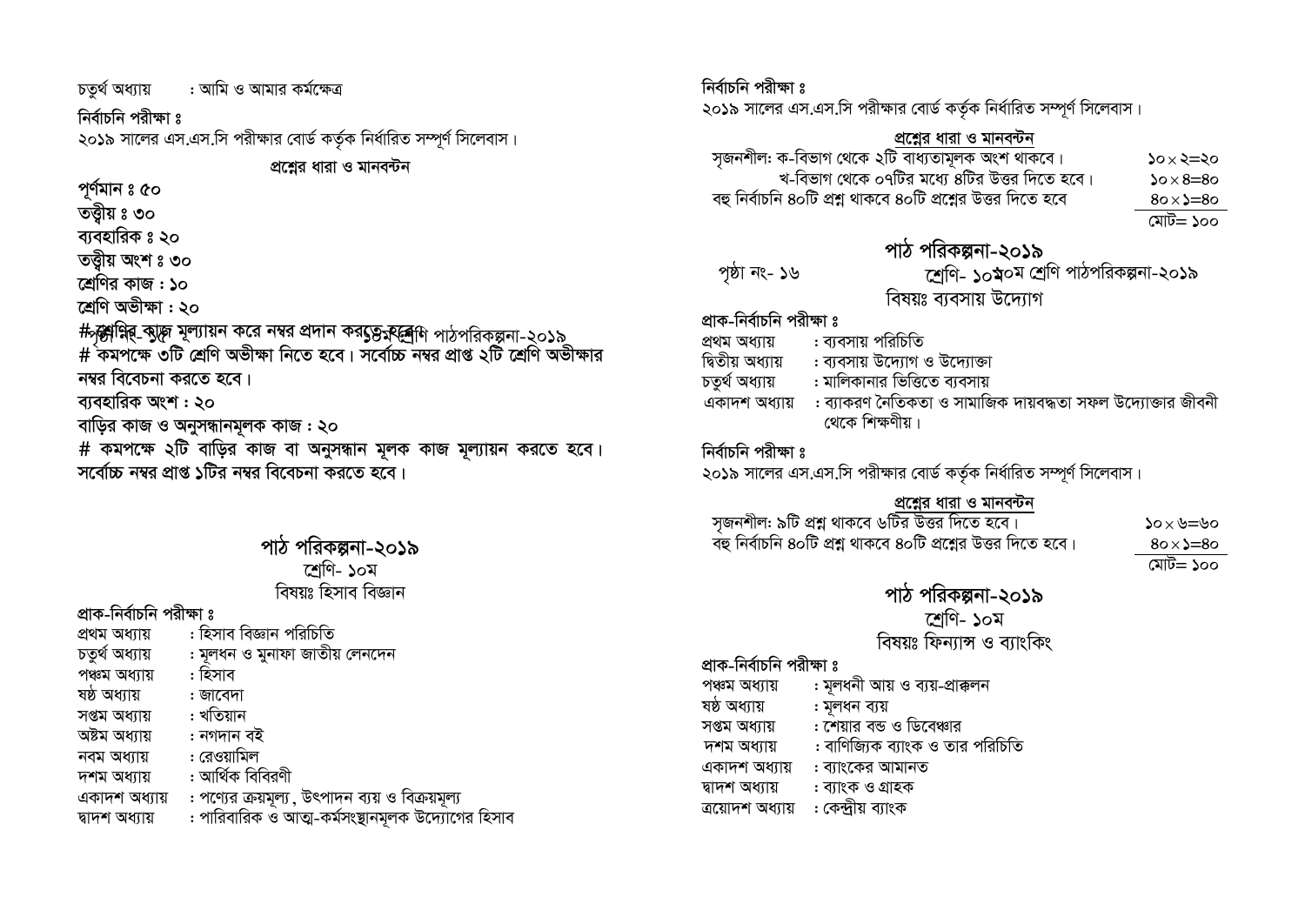চতৰ্থ অধ্যায় : আমি ও আমার কর্মক্ষেত্র

#### নিৰ্বাচনি পরীক্ষা ঃ

২০১৯ সালের এস.এস.সি পরীক্ষার বোর্ড কর্তৃক নির্ধারিত সম্পূর্ণ সিলেবাস।

প্রশ্নের ধারা ও মানবন্টন

পৰ্ণমান ঃ ৫০

তত্তীয় ঃ ৩০

ব্যবহারিক ঃ ২০

তত্ত্বীয় অংশ ঃ ৩০

শ্রেণির কাজ : ১০

শ্ৰেণি অভীক্ষা : ২০

#সৃষ্টান্নিৰ্ কাৃ্দ্ব মূল্যায়ন করে নম্বর প্রদান করৎ্যভূক্রব্রেশি পাঠপরিকল্পনা-২০১৯<br># কমপক্ষে ৩টি শ্রেণি অভীক্ষা নিতে হবে। সর্বোচ্চ নম্বর প্রাপ্ত ২টি শ্রেণি অভীক্ষার নম্বর বিবেচনা করতে হবে।

ব্যবহারিক অংশ: ২০

বাড়ির কাজ ও অনুসন্ধানমূলক কাজ : ২০

# কমপক্ষে ২টি বাড়ির কাজ বা অনুসন্ধান মূলক কাজ মূল্যায়ন করতে হবে। সর্বোচ্চ নম্বর প্রাপ্ত ১টির নম্বর বিবেচনা করতে হবে।

#### পাঠ পরিকল্পনা-২০১৯ শেণি- ১০ম বিষয়ঃ হিসাব বিজ্ঞান

প্রাক-নির্বাচনি পরীক্ষা ঃ

- : হিসাব বিজ্ঞান পরিচিতি প্ৰথম অধ্যায়
- : মূলধন ও মুনাফা জাতীয় লেনদেন চতুৰ্থ অধ্যায়
- : হিসাব পঞ্চম অধ্যায়
- ষষ্ঠ অধ্যায় : জাবেদা
- : খতিয়ান সপ্তম অধ্যায়
- অষ্টম অধ্যায় : নগদান বই
- : রেওয়ামিল নবম অধ্যায়
- : আৰ্থিক বিবিরণী দশম অধ্যায়

: পণ্যের ক্রয়মূল্য , উৎপাদন ব্যয় ও বিক্রয়মূল্য একাদশ অধ্যায়

: পারিবারিক ও আত্ম-কর্মসংষ্টানমলক উদ্যোগের হিসাব দ্বাদশ অধ্যায়

#### নিৰ্বাচনি পরীক্ষা ঃ

২০১৯ সালের এস.এস.সি পরীক্ষার বোর্ড কর্তৃক নির্ধারিত সম্পূর্ণ সিলেবাস।

<u>প্রশ্নের ধারা ও মানবন্টন</u><br>- সৃজনশীল: ক-বিভাগ থেকে ২টি বাধ্যতামূলক অংশ থাকবে  $20 \times 2 = 20$ খ-বিভাগ থেকে ০৭টির মধ্যে ৪টির উত্তর দিতে হবে।  $20 \times 8 = 80$ বহু নির্বাচনি ৪০টি প্রশ্ন থাকবে ৪০টি প্রশ্নের উত্তর দিতে হবে  $80 \times \ge 80$ 

মোট= ১০০

# পাঠ পরিকল্পনা-২০১৯

|               | পাঠ পারকল্পনা-২০১৯                       |
|---------------|------------------------------------------|
| পৃষ্ঠা নং- ১৬ | শ্রেণি- ১০ম্ব০ম শ্রেণি পাঠপরিকল্পনা-২০১৯ |
|               | বিষয়ঃ ব্যবসায় উদ্যোগ                   |

#### প্রাক-নির্বাচনি পরীক্ষা ঃ

- : ব্যবসায় পবিচিতি প্ৰথম অধ্যায়
- দ্বিতীয় অধ্যায় : ব্যবসায় উদ্যোগ ও উদ্যোক্তা
- : মালিকানার ভিত্তিতে ব্যবসায় চতৰ্থ অধ্যায়
- একাদশ অধ্যায় : ব্যাকরণ নৈতিকতা ও সামাজিক দায়বদ্ধতা সফল উদ্যোক্তার জীবনী থেকে শিক্ষণীয়।

#### নিৰ্বাচনি পরীক্ষা ঃ

২০১৯ সালের এস.এস.সি পরীক্ষার বোর্ড কর্তৃক নির্ধারিত সম্পূর্ণ সিলেবাস।

<u>পশ্লের ধারা ও মানবন্টন</u><br>সৃজনশীল: ৯টি প্রশ্ন থাকবে ৬টির উত্তর দিতে হবে। ্<br>বহু নির্বাচনি ৪০টি প্রশ্ন থাকবে ৪০টি প্রশ্নের উত্তর দিতে হবে।

 $0$ খ $=$ খ $\times$ ০  $80 \times \ge 80$ মোট= ১০০

পাঠ পরিকল্পনা-২০১৯ শেণি- ১০ম

বিষয়ঃ ফিন্যান্স ও ব্যাংকিং

#### প্রাক-নির্বাচনি পরীক্ষা ঃ

- : মূলধনী আয় ও ব্যয়-প্ৰাক্কলন পঞ্চম অধ্যায়
- ষষ্ঠ অধ্যায় : মূলধন ব্যয়
- : শেয়ার বন্ড ও ডিবেঞ্চার সপ্তম অধ্যায়
- : বাণিজ্যিক ব্যাংক ও তার পরিচিতি দশম অধ্যায়
- একাদশ অধ্যায় : ব্যাংকের আমানত
- দ্বাদশ অধ্যায় : ব্যাংক ও গ্রাহক
- : কেন্দ্ৰীয় ব্যাংক ত্ৰয়োদশ অধ্যায়